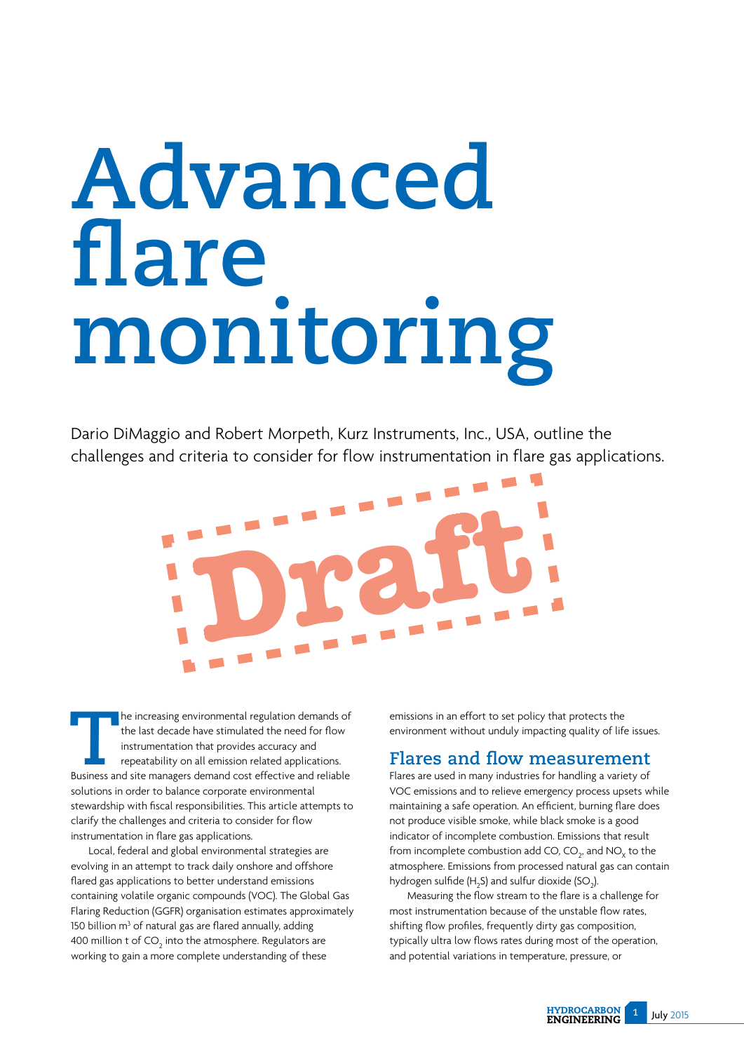# **Advanced flare monitoring**

Dario DiMaggio and Robert Morpeth, Kurz Instruments, Inc., USA, outline the challenges and criteria to consider for flow instrumentation in flare gas applications.

**Draft**

**THE INCREDITED THE INCREDITED THE INCREDITED THE INTERNATION IN ITELATION ISSUED THE INTERNATION THE INCREDITED THE INCREDITED BUSINESS and site managers demand cost effective and reliable** the last decade have stimulated the need for flow instrumentation that provides accuracy and repeatability on all emission related applications. Business and site managers demand cost effective and reliable solutions in order to balance corporate environmental stewardship with fiscal responsibilities. This article attempts to clarify the challenges and criteria to consider for flow instrumentation in flare gas applications.

Local, federal and global environmental strategies are evolving in an attempt to track daily onshore and offshore flared gas applications to better understand emissions containing volatile organic compounds (VOC). The Global Gas Flaring Reduction (GGFR) organisation estimates approximately 150 billion  $m<sup>3</sup>$  of natural gas are flared annually, adding 400 million t of CO $_{\rm 2}$  into the atmosphere. Regulators are working to gain a more complete understanding of these

emissions in an effort to set policy that protects the environment without unduly impacting quality of life issues.

## **Flares and flow measurement**

Flares are used in many industries for handling a variety of VOC emissions and to relieve emergency process upsets while maintaining a safe operation. An efficient, burning flare does not produce visible smoke, while black smoke is a good indicator of incomplete combustion. Emissions that result from incomplete combustion add CO, CO<sub>2</sub>, and NO<sub>x</sub> to the atmosphere. Emissions from processed natural gas can contain hydrogen sulfide (H<sub>2</sub>S) and sulfur dioxide (SO<sub>2</sub>).

Measuring the flow stream to the flare is a challenge for most instrumentation because of the unstable flow rates. shifting flow profiles, frequently dirty gas composition. typically ultra low flows rates during most of the operation, and potential variations in temperature, pressure, or

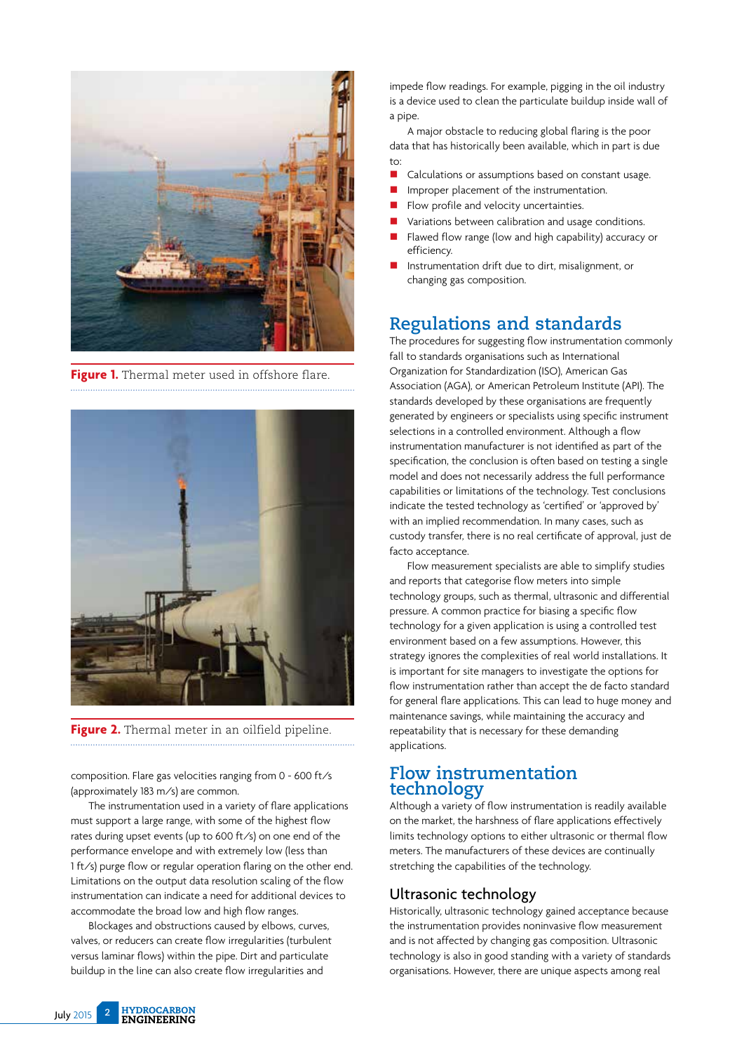

**Figure 1.** Thermal meter used in offshore flare.



**Figure 2.** Thermal meter in an oilfield pipeline.

composition. Flare gas velocities ranging from 0 - 600 ft/s (approximately 183 m/s) are common.

The instrumentation used in a variety of flare applications must support a large range, with some of the highest flow rates during upset events (up to 600 ft/s) on one end of the performance envelope and with extremely low (less than 1 ft/s) purge flow or regular operation flaring on the other end. Limitations on the output data resolution scaling of the flow instrumentation can indicate a need for additional devices to accommodate the broad low and high flow ranges.

Blockages and obstructions caused by elbows, curves, valves, or reducers can create flow irregularities (turbulent versus laminar flows) within the pipe. Dirt and particulate buildup in the line can also create flow irregularities and

impede flow readings. For example, pigging in the oil industry is a device used to clean the particulate buildup inside wall of a pipe.

A major obstacle to reducing global flaring is the poor data that has historically been available, which in part is due  $t_0$ :

- Calculations or assumptions based on constant usage.
- $\blacksquare$  Improper placement of the instrumentation.
- $\blacksquare$  Flow profile and velocity uncertainties.
- $\blacksquare$  Variations between calibration and usage conditions.
- Flawed flow range (low and high capability) accuracy or efficiency.
- Instrumentation drift due to dirt, misalignment, or changing gas composition.

# **Regulations and standards**

The procedures for suggesting flow instrumentation commonly fall to standards organisations such as International Organization for Standardization (ISO), American Gas Association (AGA), or American Petroleum Institute (API). The standards developed by these organisations are frequently generated by engineers or specialists using specific instrument selections in a controlled environment. Although a flow instrumentation manufacturer is not identified as part of the specification, the conclusion is often based on testing a single model and does not necessarily address the full performance capabilities or limitations of the technology. Test conclusions indicate the tested technology as 'certified' or 'approved by' with an implied recommendation. In many cases, such as custody transfer, there is no real certificate of approval, just de facto acceptance.

Flow measurement specialists are able to simplify studies and reports that categorise flow meters into simple technology groups, such as thermal, ultrasonic and differential pressure. A common practice for biasing a specific flow technology for a given application is using a controlled test environment based on a few assumptions. However, this strategy ignores the complexities of real world installations. It is important for site managers to investigate the options for flow instrumentation rather than accept the de facto standard for general flare applications. This can lead to huge money and maintenance savings, while maintaining the accuracy and repeatability that is necessary for these demanding applications.

#### **Flow instrumentation technology**

Although a variety of flow instrumentation is readily available on the market, the harshness of flare applications effectively limits technology options to either ultrasonic or thermal flow meters. The manufacturers of these devices are continually stretching the capabilities of the technology.

#### Ultrasonic technology

Historically, ultrasonic technology gained acceptance because the instrumentation provides noninvasive flow measurement and is not affected by changing gas composition. Ultrasonic technology is also in good standing with a variety of standards organisations. However, there are unique aspects among real